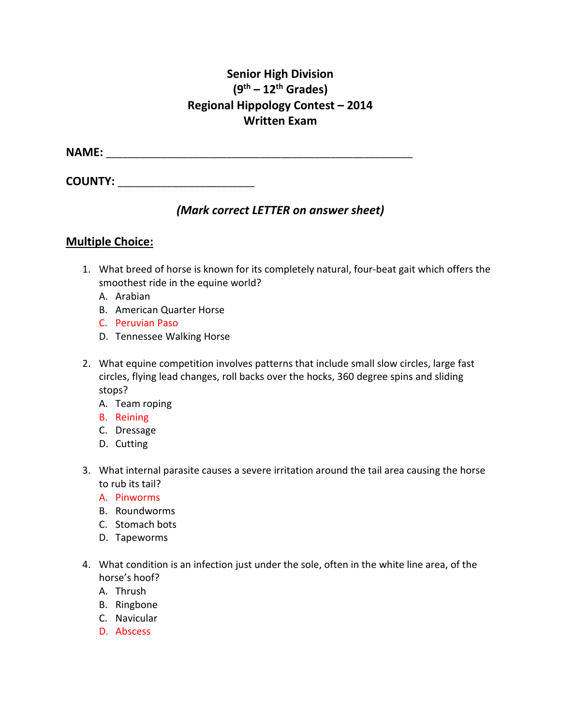# **Senior High Division (9th – 12th Grades) Regional Hippology Contest – 2014 Written Exam**

**NAME:** \_\_\_\_\_\_\_\_\_\_\_\_\_\_\_\_\_\_\_\_\_\_\_\_\_\_\_\_\_\_\_\_\_\_\_\_\_\_\_\_\_\_\_\_\_\_\_\_\_\_\_\_\_\_\_\_

**COUNTY:** \_\_\_\_\_\_\_\_\_\_\_\_\_\_\_\_\_\_\_\_\_\_\_\_\_

## *(Mark correct LETTER on answer sheet)*

### **Multiple Choice:**

- 1. What breed of horse is known for its completely natural, four-beat gait which offers the smoothest ride in the equine world?
	- A. Arabian
	- B. American Quarter Horse
	- C. Peruvian Paso
	- D. Tennessee Walking Horse
- 2. What equine competition involves patterns that include small slow circles, large fast circles, flying lead changes, roll backs over the hocks, 360 degree spins and sliding stops?
	- A. Team roping
	- B. Reining
	- C. Dressage
	- D. Cutting
- 3. What internal parasite causes a severe irritation around the tail area causing the horse to rub its tail?
	- A. Pinworms
	- B. Roundworms
	- C. Stomach bots
	- D. Tapeworms
- 4. What condition is an infection just under the sole, often in the white line area, of the horse's hoof?
	- A. Thrush
	- B. Ringbone
	- C. Navicular
	- D. Abscess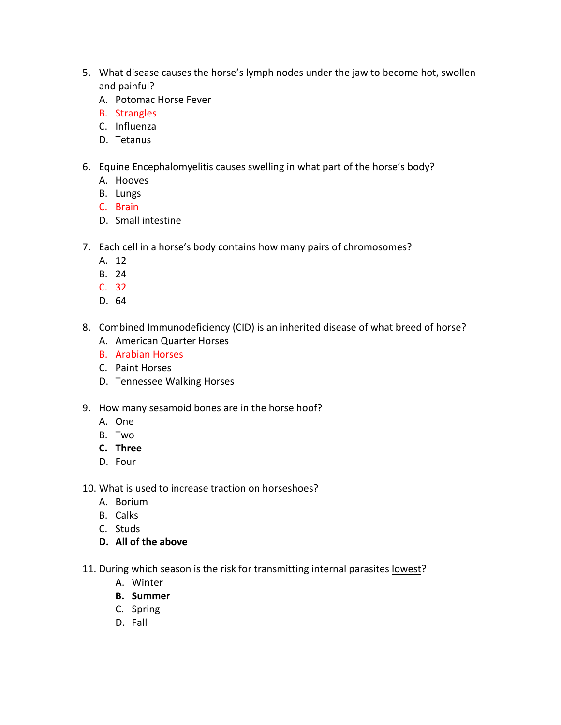- 5. What disease causes the horse's lymph nodes under the jaw to become hot, swollen and painful?
	- A. Potomac Horse Fever
	- B. Strangles
	- C. Influenza
	- D. Tetanus
- 6. Equine Encephalomyelitis causes swelling in what part of the horse's body?
	- A. Hooves
	- B. Lungs
	- C. Brain
	- D. Small intestine
- 7. Each cell in a horse's body contains how many pairs of chromosomes?
	- A. 12
	- B. 24
	- C. 32
	- D. 64
- 8. Combined Immunodeficiency (CID) is an inherited disease of what breed of horse?
	- A. American Quarter Horses
	- B. Arabian Horses
	- C. Paint Horses
	- D. Tennessee Walking Horses
- 9. How many sesamoid bones are in the horse hoof?
	- A. One
	- B. Two
	- **C. Three**
	- D. Four
- 10. What is used to increase traction on horseshoes?
	- A. Borium
	- B. Calks
	- C. Studs
	- **D. All of the above**
- 11. During which season is the risk for transmitting internal parasites lowest?
	- A. Winter
	- **B. Summer**
	- C. Spring
	- D. Fall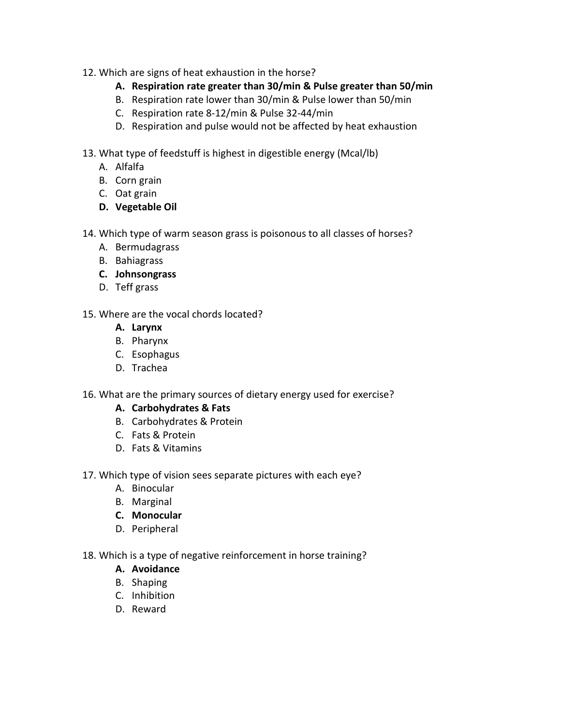- 12. Which are signs of heat exhaustion in the horse?
	- **A. Respiration rate greater than 30/min & Pulse greater than 50/min**
	- B. Respiration rate lower than 30/min & Pulse lower than 50/min
	- C. Respiration rate 8-12/min & Pulse 32-44/min
	- D. Respiration and pulse would not be affected by heat exhaustion
- 13. What type of feedstuff is highest in digestible energy (Mcal/lb)
	- A. Alfalfa
	- B. Corn grain
	- C. Oat grain
	- **D. Vegetable Oil**
- 14. Which type of warm season grass is poisonous to all classes of horses?
	- A. Bermudagrass
	- B. Bahiagrass
	- **C. Johnsongrass**
	- D. Teff grass
- 15. Where are the vocal chords located?
	- **A. Larynx**
	- B. Pharynx
	- C. Esophagus
	- D. Trachea
- 16. What are the primary sources of dietary energy used for exercise?
	- **A. Carbohydrates & Fats**
	- B. Carbohydrates & Protein
	- C. Fats & Protein
	- D. Fats & Vitamins
- 17. Which type of vision sees separate pictures with each eye?
	- A. Binocular
	- B. Marginal
	- **C. Monocular**
	- D. Peripheral
- 18. Which is a type of negative reinforcement in horse training?
	- **A. Avoidance**
	- B. Shaping
	- C. Inhibition
	- D. Reward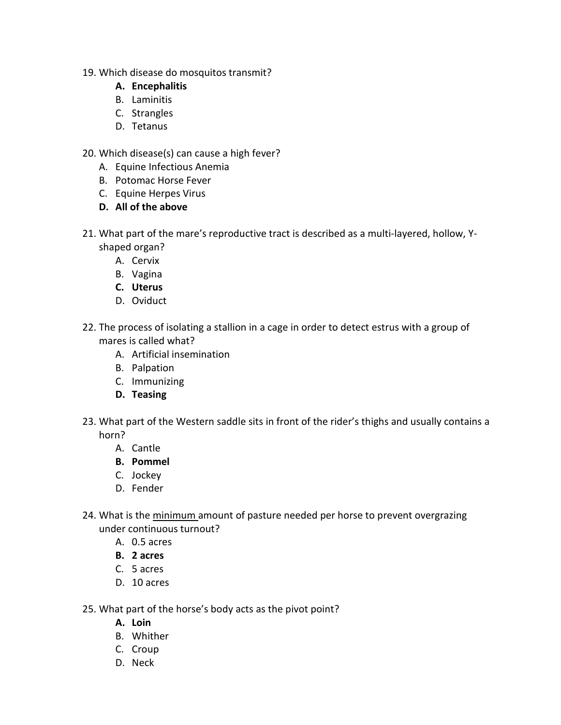- 19. Which disease do mosquitos transmit?
	- **A. Encephalitis**
	- B. Laminitis
	- C. Strangles
	- D. Tetanus
- 20. Which disease(s) can cause a high fever?
	- A. Equine Infectious Anemia
	- B. Potomac Horse Fever
	- C. Equine Herpes Virus
	- **D. All of the above**
- 21. What part of the mare's reproductive tract is described as a multi-layered, hollow, Yshaped organ?
	- A. Cervix
	- B. Vagina
	- **C. Uterus**
	- D. Oviduct
- 22. The process of isolating a stallion in a cage in order to detect estrus with a group of mares is called what?
	- A. Artificial insemination
	- B. Palpation
	- C. Immunizing
	- **D. Teasing**
- 23. What part of the Western saddle sits in front of the rider's thighs and usually contains a horn?
	- A. Cantle
	- **B. Pommel**
	- C. Jockey
	- D. Fender
- 24. What is the minimum amount of pasture needed per horse to prevent overgrazing under continuous turnout?
	- A. 0.5 acres
	- **B. 2 acres**
	- C. 5 acres
	- D. 10 acres
- 25. What part of the horse's body acts as the pivot point?
	- **A. Loin**
	- B. Whither
	- C. Croup
	- D. Neck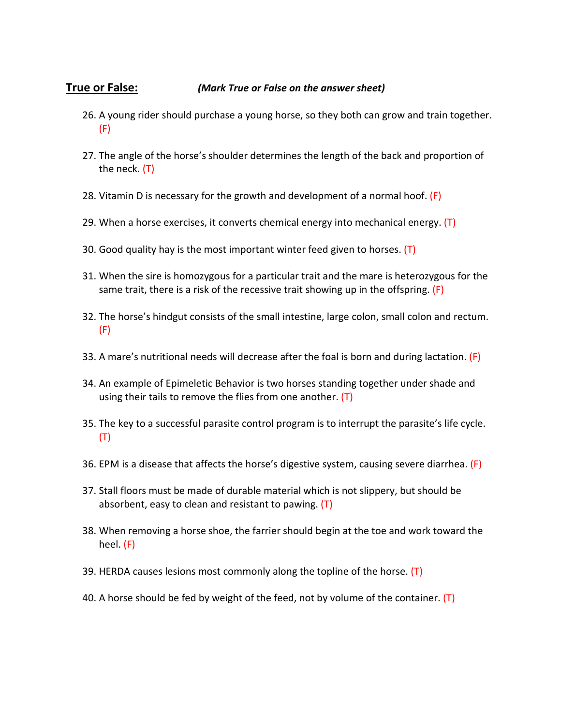### **True or False:** *(Mark True or False on the answer sheet)*

- 26. A young rider should purchase a young horse, so they both can grow and train together. (F)
- 27. The angle of the horse's shoulder determines the length of the back and proportion of the neck. (T)
- 28. Vitamin D is necessary for the growth and development of a normal hoof.  $(F)$
- 29. When a horse exercises, it converts chemical energy into mechanical energy.  $(T)$
- 30. Good quality hay is the most important winter feed given to horses. (T)
- 31. When the sire is homozygous for a particular trait and the mare is heterozygous for the same trait, there is a risk of the recessive trait showing up in the offspring.  $(F)$
- 32. The horse's hindgut consists of the small intestine, large colon, small colon and rectum. (F)
- 33. A mare's nutritional needs will decrease after the foal is born and during lactation. (F)
- 34. An example of Epimeletic Behavior is two horses standing together under shade and using their tails to remove the flies from one another.  $(T)$
- 35. The key to a successful parasite control program is to interrupt the parasite's life cycle. (T)
- 36. EPM is a disease that affects the horse's digestive system, causing severe diarrhea. (F)
- 37. Stall floors must be made of durable material which is not slippery, but should be absorbent, easy to clean and resistant to pawing. (T)
- 38. When removing a horse shoe, the farrier should begin at the toe and work toward the heel. (F)
- 39. HERDA causes lesions most commonly along the topline of the horse.  $(T)$
- 40. A horse should be fed by weight of the feed, not by volume of the container. (T)